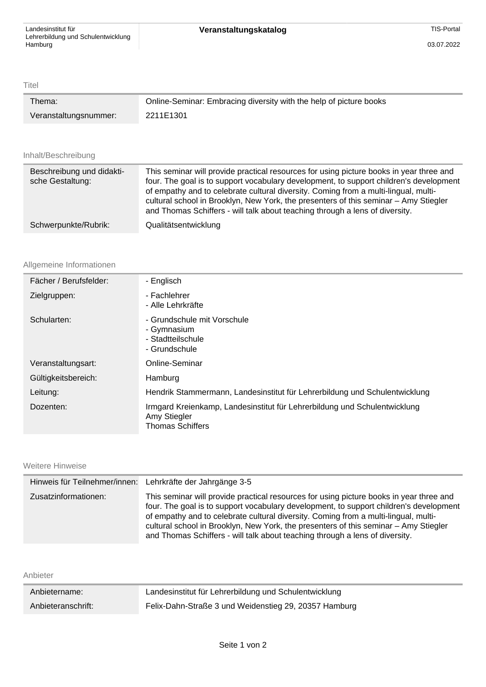Titel

| Thema:                | Online-Seminar: Embracing diversity with the help of picture books |
|-----------------------|--------------------------------------------------------------------|
| Veranstaltungsnummer: | 2211E1301                                                          |

## Inhalt/Beschreibung

| Beschreibung und didakti-<br>sche Gestaltung: | This seminar will provide practical resources for using picture books in year three and<br>four. The goal is to support vocabulary development, to support children's development<br>of empathy and to celebrate cultural diversity. Coming from a multi-lingual, multi-<br>cultural school in Brooklyn, New York, the presenters of this seminar - Amy Stiegler<br>and Thomas Schiffers - will talk about teaching through a lens of diversity. |
|-----------------------------------------------|--------------------------------------------------------------------------------------------------------------------------------------------------------------------------------------------------------------------------------------------------------------------------------------------------------------------------------------------------------------------------------------------------------------------------------------------------|
| Schwerpunkte/Rubrik:                          | Qualitätsentwicklung                                                                                                                                                                                                                                                                                                                                                                                                                             |

## Allgemeine Informationen

| Fächer / Berufsfelder: | - Englisch                                                                                                           |
|------------------------|----------------------------------------------------------------------------------------------------------------------|
| Zielgruppen:           | - Fachlehrer<br>- Alle Lehrkräfte                                                                                    |
| Schularten:            | - Grundschule mit Vorschule<br>- Gymnasium<br>- Stadtteilschule<br>- Grundschule                                     |
| Veranstaltungsart:     | Online-Seminar                                                                                                       |
| Gültigkeitsbereich:    | Hamburg                                                                                                              |
| Leitung:               | Hendrik Stammermann, Landesinstitut für Lehrerbildung und Schulentwicklung                                           |
| Dozenten:              | Irmgard Kreienkamp, Landesinstitut für Lehrerbildung und Schulentwicklung<br>Amy Stiegler<br><b>Thomas Schiffers</b> |

## Weitere Hinweise

|                      | Hinweis für Teilnehmer/innen: Lehrkräfte der Jahrgänge 3-5                                                                                                                                                                                                                                                                                                                                                                                       |
|----------------------|--------------------------------------------------------------------------------------------------------------------------------------------------------------------------------------------------------------------------------------------------------------------------------------------------------------------------------------------------------------------------------------------------------------------------------------------------|
| Zusatzinformationen: | This seminar will provide practical resources for using picture books in year three and<br>four. The goal is to support vocabulary development, to support children's development<br>of empathy and to celebrate cultural diversity. Coming from a multi-lingual, multi-<br>cultural school in Brooklyn, New York, the presenters of this seminar - Amy Stiegler<br>and Thomas Schiffers - will talk about teaching through a lens of diversity. |

|    | $\sqrt{2}$ |  |
|----|------------|--|
| ın |            |  |
|    |            |  |

| Anbietername:      | Landesinstitut für Lehrerbildung und Schulentwicklung |
|--------------------|-------------------------------------------------------|
| Anbieteranschrift: | Felix-Dahn-Straße 3 und Weidenstieg 29, 20357 Hamburg |